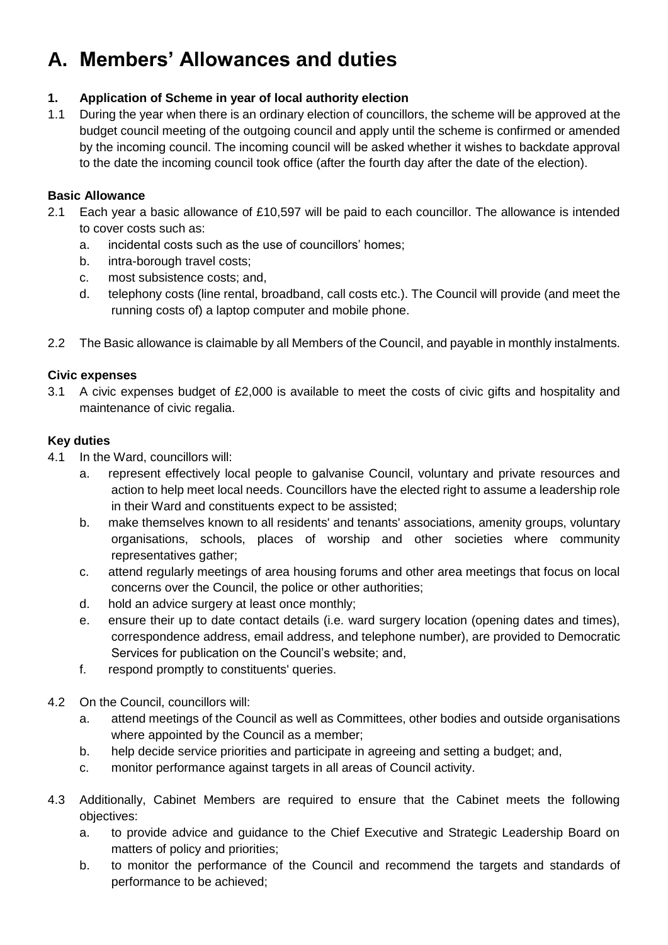# **A. Members' Allowances and duties**

# **1. Application of Scheme in year of local authority election**

1.1 During the year when there is an ordinary election of councillors, the scheme will be approved at the budget council meeting of the outgoing council and apply until the scheme is confirmed or amended by the incoming council. The incoming council will be asked whether it wishes to backdate approval to the date the incoming council took office (after the fourth day after the date of the election).

# **Basic Allowance**

- 2.1 Each year a basic allowance of £10,597 will be paid to each councillor. The allowance is intended to cover costs such as:
	- a. incidental costs such as the use of councillors' homes;
	- b. intra-borough travel costs;
	- c. most subsistence costs; and,
	- d. telephony costs (line rental, broadband, call costs etc.). The Council will provide (and meet the running costs of) a laptop computer and mobile phone.
- 2.2 The Basic allowance is claimable by all Members of the Council, and payable in monthly instalments.

# **Civic expenses**

3.1 A civic expenses budget of £2,000 is available to meet the costs of civic gifts and hospitality and maintenance of civic regalia.

# **Key duties**

- 4.1 In the Ward, councillors will:
	- a. represent effectively local people to galvanise Council, voluntary and private resources and action to help meet local needs. Councillors have the elected right to assume a leadership role in their Ward and constituents expect to be assisted;
	- b. make themselves known to all residents' and tenants' associations, amenity groups, voluntary organisations, schools, places of worship and other societies where community representatives gather;
	- c. attend regularly meetings of area housing forums and other area meetings that focus on local concerns over the Council, the police or other authorities;
	- d. hold an advice surgery at least once monthly;
	- e. ensure their up to date contact details (i.e. ward surgery location (opening dates and times), correspondence address, email address, and telephone number), are provided to Democratic Services for publication on the Council's website; and,
	- f. respond promptly to constituents' queries.
- 4.2 On the Council, councillors will:
	- a. attend meetings of the Council as well as Committees, other bodies and outside organisations where appointed by the Council as a member;
	- b. help decide service priorities and participate in agreeing and setting a budget; and,
	- c. monitor performance against targets in all areas of Council activity.
- 4.3 Additionally, Cabinet Members are required to ensure that the Cabinet meets the following objectives:
	- a. to provide advice and guidance to the Chief Executive and Strategic Leadership Board on matters of policy and priorities;
	- b. to monitor the performance of the Council and recommend the targets and standards of performance to be achieved;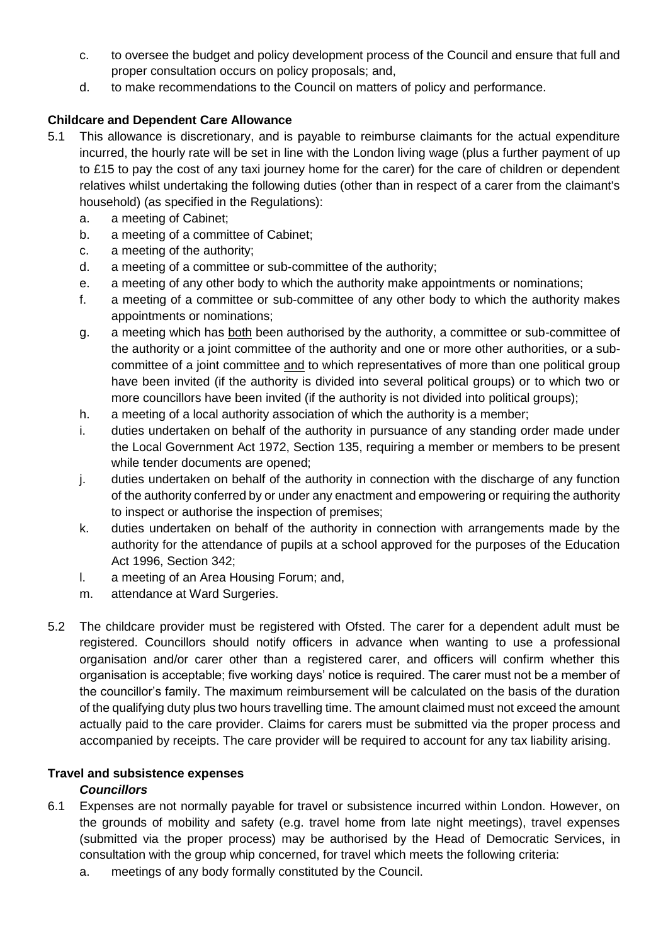- c. to oversee the budget and policy development process of the Council and ensure that full and proper consultation occurs on policy proposals; and,
- d. to make recommendations to the Council on matters of policy and performance.

# **Childcare and Dependent Care Allowance**

- 5.1 This allowance is discretionary, and is payable to reimburse claimants for the actual expenditure incurred, the hourly rate will be set in line with the London living wage (plus a further payment of up to £15 to pay the cost of any taxi journey home for the carer) for the care of children or dependent relatives whilst undertaking the following duties (other than in respect of a carer from the claimant's household) (as specified in the Regulations):
	- a. a meeting of Cabinet;
	- b. a meeting of a committee of Cabinet;
	- c. a meeting of the authority;
	- d. a meeting of a committee or sub-committee of the authority;
	- e. a meeting of any other body to which the authority make appointments or nominations;
	- f. a meeting of a committee or sub-committee of any other body to which the authority makes appointments or nominations;
	- g. a meeting which has both been authorised by the authority, a committee or sub-committee of the authority or a joint committee of the authority and one or more other authorities, or a subcommittee of a joint committee and to which representatives of more than one political group have been invited (if the authority is divided into several political groups) or to which two or more councillors have been invited (if the authority is not divided into political groups);
	- h. a meeting of a local authority association of which the authority is a member;
	- i. duties undertaken on behalf of the authority in pursuance of any standing order made under the Local Government Act 1972, Section 135, requiring a member or members to be present while tender documents are opened;
	- j. duties undertaken on behalf of the authority in connection with the discharge of any function of the authority conferred by or under any enactment and empowering or requiring the authority to inspect or authorise the inspection of premises;
	- k. duties undertaken on behalf of the authority in connection with arrangements made by the authority for the attendance of pupils at a school approved for the purposes of the Education Act 1996, Section 342;
	- l. a meeting of an Area Housing Forum; and,
	- m. attendance at Ward Surgeries.
- 5.2 The childcare provider must be registered with Ofsted. The carer for a dependent adult must be registered. Councillors should notify officers in advance when wanting to use a professional organisation and/or carer other than a registered carer, and officers will confirm whether this organisation is acceptable; five working days' notice is required. The carer must not be a member of the councillor's family. The maximum reimbursement will be calculated on the basis of the duration of the qualifying duty plus two hours travelling time. The amount claimed must not exceed the amount actually paid to the care provider. Claims for carers must be submitted via the proper process and accompanied by receipts. The care provider will be required to account for any tax liability arising.

# **Travel and subsistence expenses**

# *Councillors*

- 6.1 Expenses are not normally payable for travel or subsistence incurred within London. However, on the grounds of mobility and safety (e.g. travel home from late night meetings), travel expenses (submitted via the proper process) may be authorised by the Head of Democratic Services, in consultation with the group whip concerned, for travel which meets the following criteria:
	- a. meetings of any body formally constituted by the Council.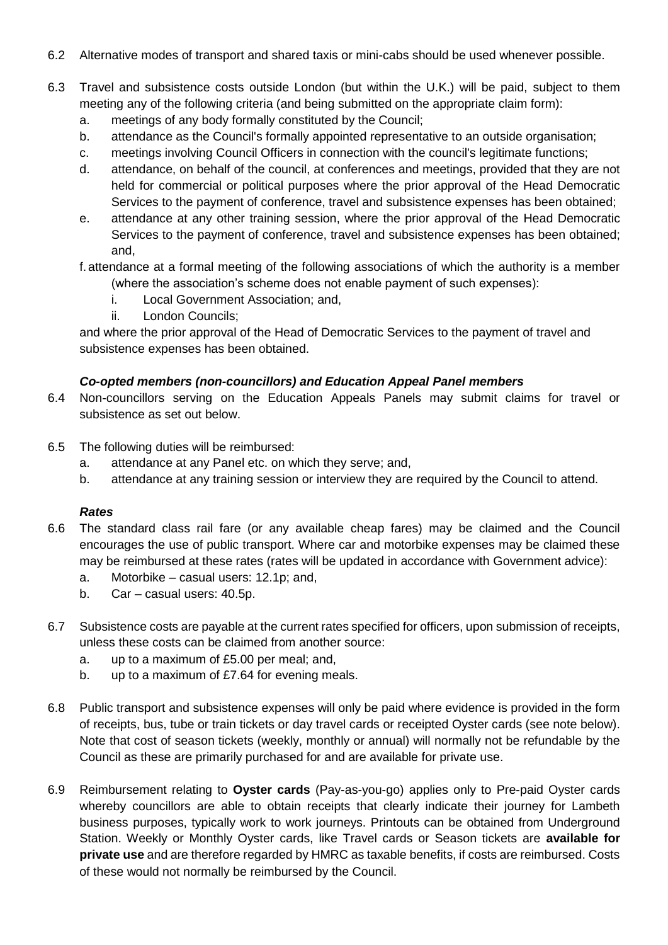- 6.2 Alternative modes of transport and shared taxis or mini-cabs should be used whenever possible.
- 6.3 Travel and subsistence costs outside London (but within the U.K.) will be paid, subject to them meeting any of the following criteria (and being submitted on the appropriate claim form):
	- a. meetings of any body formally constituted by the Council;
	- b. attendance as the Council's formally appointed representative to an outside organisation;
	- c. meetings involving Council Officers in connection with the council's legitimate functions;
	- d. attendance, on behalf of the council, at conferences and meetings, provided that they are not held for commercial or political purposes where the prior approval of the Head Democratic Services to the payment of conference, travel and subsistence expenses has been obtained;
	- e. attendance at any other training session, where the prior approval of the Head Democratic Services to the payment of conference, travel and subsistence expenses has been obtained; and,
	- f.attendance at a formal meeting of the following associations of which the authority is a member (where the association's scheme does not enable payment of such expenses):
		- i. Local Government Association; and,
		- ii. London Councils;

and where the prior approval of the Head of Democratic Services to the payment of travel and subsistence expenses has been obtained.

#### *Co-opted members (non-councillors) and Education Appeal Panel members*

- 6.4 Non-councillors serving on the Education Appeals Panels may submit claims for travel or subsistence as set out below.
- 6.5 The following duties will be reimbursed:
	- a. attendance at any Panel etc. on which they serve; and,
	- b. attendance at any training session or interview they are required by the Council to attend.

#### *Rates*

- 6.6 The standard class rail fare (or any available cheap fares) may be claimed and the Council encourages the use of public transport. Where car and motorbike expenses may be claimed these may be reimbursed at these rates (rates will be updated in accordance with Government advice):
	- a. Motorbike casual users: 12.1p; and,
	- b. Car casual users: 40.5p.
- 6.7 Subsistence costs are payable at the current rates specified for officers, upon submission of receipts, unless these costs can be claimed from another source:
	- a. up to a maximum of £5.00 per meal; and,
	- b. up to a maximum of £7.64 for evening meals.
- 6.8 Public transport and subsistence expenses will only be paid where evidence is provided in the form of receipts, bus, tube or train tickets or day travel cards or receipted Oyster cards (see note below). Note that cost of season tickets (weekly, monthly or annual) will normally not be refundable by the Council as these are primarily purchased for and are available for private use.
- 6.9 Reimbursement relating to **Oyster cards** (Pay-as-you-go) applies only to Pre-paid Oyster cards whereby councillors are able to obtain receipts that clearly indicate their journey for Lambeth business purposes, typically work to work journeys. Printouts can be obtained from Underground Station. Weekly or Monthly Oyster cards, like Travel cards or Season tickets are **available for private use** and are therefore regarded by HMRC as taxable benefits, if costs are reimbursed. Costs of these would not normally be reimbursed by the Council.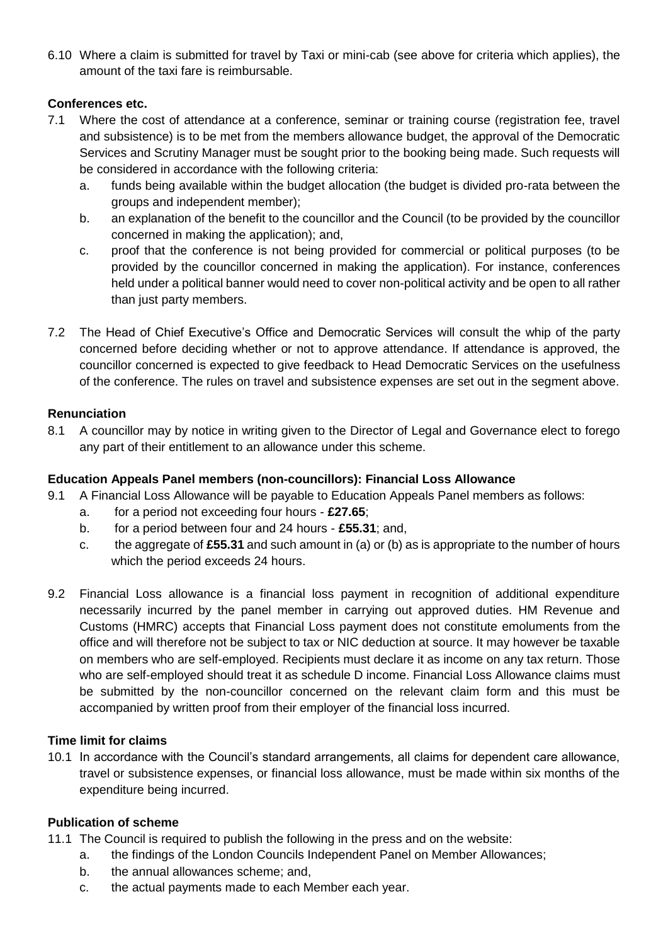6.10 Where a claim is submitted for travel by Taxi or mini-cab (see above for criteria which applies), the amount of the taxi fare is reimbursable.

#### **Conferences etc.**

- 7.1 Where the cost of attendance at a conference, seminar or training course (registration fee, travel and subsistence) is to be met from the members allowance budget, the approval of the Democratic Services and Scrutiny Manager must be sought prior to the booking being made. Such requests will be considered in accordance with the following criteria:
	- a. funds being available within the budget allocation (the budget is divided pro-rata between the groups and independent member);
	- b. an explanation of the benefit to the councillor and the Council (to be provided by the councillor concerned in making the application); and,
	- c. proof that the conference is not being provided for commercial or political purposes (to be provided by the councillor concerned in making the application). For instance, conferences held under a political banner would need to cover non-political activity and be open to all rather than just party members.
- 7.2 The Head of Chief Executive's Office and Democratic Services will consult the whip of the party concerned before deciding whether or not to approve attendance. If attendance is approved, the councillor concerned is expected to give feedback to Head Democratic Services on the usefulness of the conference. The rules on travel and subsistence expenses are set out in the segment above.

#### **Renunciation**

8.1 A councillor may by notice in writing given to the Director of Legal and Governance elect to forego any part of their entitlement to an allowance under this scheme.

#### **Education Appeals Panel members (non-councillors): Financial Loss Allowance**

- 9.1 A Financial Loss Allowance will be payable to Education Appeals Panel members as follows:
	- a. for a period not exceeding four hours **£27.65**;
	- b. for a period between four and 24 hours **£55.31**; and,
	- c. the aggregate of **£55.31** and such amount in (a) or (b) as is appropriate to the number of hours which the period exceeds 24 hours.
- 9.2 Financial Loss allowance is a financial loss payment in recognition of additional expenditure necessarily incurred by the panel member in carrying out approved duties. HM Revenue and Customs (HMRC) accepts that Financial Loss payment does not constitute emoluments from the office and will therefore not be subject to tax or NIC deduction at source. It may however be taxable on members who are self-employed. Recipients must declare it as income on any tax return. Those who are self-employed should treat it as schedule D income. Financial Loss Allowance claims must be submitted by the non-councillor concerned on the relevant claim form and this must be accompanied by written proof from their employer of the financial loss incurred.

#### **Time limit for claims**

10.1 In accordance with the Council's standard arrangements, all claims for dependent care allowance, travel or subsistence expenses, or financial loss allowance, must be made within six months of the expenditure being incurred.

#### **Publication of scheme**

- 11.1 The Council is required to publish the following in the press and on the website:
	- a. the findings of the London Councils Independent Panel on Member Allowances;
	- b. the annual allowances scheme; and,
	- c. the actual payments made to each Member each year.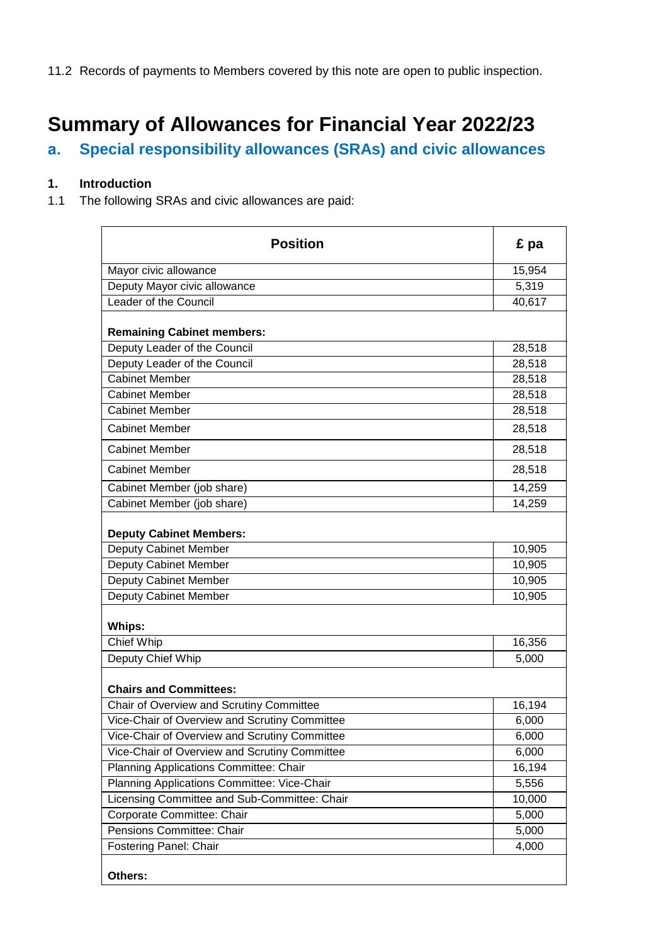11.2 Records of payments to Members covered by this note are open to public inspection.

# **Summary of Allowances for Financial Year 2022/23**

# **a. Special responsibility allowances (SRAs) and civic allowances**

# **1. Introduction**

1.1 The following SRAs and civic allowances are paid:

| <b>Position</b>                               | £ pa   |
|-----------------------------------------------|--------|
| Mayor civic allowance                         | 15,954 |
| Deputy Mayor civic allowance                  | 5,319  |
| Leader of the Council                         | 40,617 |
| <b>Remaining Cabinet members:</b>             |        |
| Deputy Leader of the Council                  | 28,518 |
| Deputy Leader of the Council                  | 28,518 |
| <b>Cabinet Member</b>                         | 28,518 |
| <b>Cabinet Member</b>                         | 28,518 |
| <b>Cabinet Member</b>                         | 28,518 |
| <b>Cabinet Member</b>                         | 28,518 |
| <b>Cabinet Member</b>                         | 28,518 |
| <b>Cabinet Member</b>                         | 28,518 |
| Cabinet Member (job share)                    | 14,259 |
| Cabinet Member (job share)                    | 14,259 |
| <b>Deputy Cabinet Members:</b>                |        |
| Deputy Cabinet Member                         | 10,905 |
| Deputy Cabinet Member                         | 10,905 |
| Deputy Cabinet Member                         | 10,905 |
| Deputy Cabinet Member                         | 10,905 |
| <b>Whips:</b>                                 |        |
| Chief Whip                                    | 16,356 |
| Deputy Chief Whip                             | 5,000  |
| <b>Chairs and Committees:</b>                 |        |
| Chair of Overview and Scrutiny Committee      | 16,194 |
| Vice-Chair of Overview and Scrutiny Committee | 6,000  |
| Vice-Chair of Overview and Scrutiny Committee | 6,000  |
| Vice-Chair of Overview and Scrutiny Committee | 6,000  |
| Planning Applications Committee: Chair        | 16,194 |
| Planning Applications Committee: Vice-Chair   | 5,556  |
| Licensing Committee and Sub-Committee: Chair  | 10,000 |
| Corporate Committee: Chair                    | 5,000  |
| Pensions Committee: Chair                     | 5,000  |
| Fostering Panel: Chair                        | 4,000  |
| Others:                                       |        |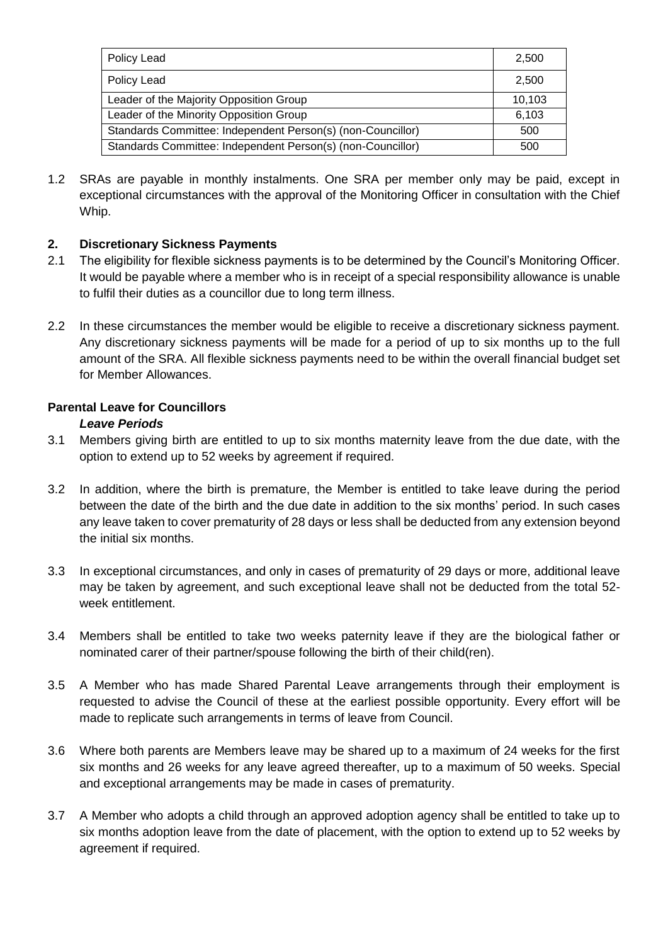| Policy Lead                                                 | 2,500  |
|-------------------------------------------------------------|--------|
| Policy Lead                                                 | 2,500  |
| Leader of the Majority Opposition Group                     | 10,103 |
| Leader of the Minority Opposition Group                     | 6,103  |
| Standards Committee: Independent Person(s) (non-Councillor) | 500    |
| Standards Committee: Independent Person(s) (non-Councillor) | 500    |

1.2 SRAs are payable in monthly instalments. One SRA per member only may be paid, except in exceptional circumstances with the approval of the Monitoring Officer in consultation with the Chief Whip.

# **2. Discretionary Sickness Payments**

- 2.1 The eligibility for flexible sickness payments is to be determined by the Council's Monitoring Officer. It would be payable where a member who is in receipt of a special responsibility allowance is unable to fulfil their duties as a councillor due to long term illness.
- 2.2 In these circumstances the member would be eligible to receive a discretionary sickness payment. Any discretionary sickness payments will be made for a period of up to six months up to the full amount of the SRA. All flexible sickness payments need to be within the overall financial budget set for Member Allowances.

# **Parental Leave for Councillors**

#### *Leave Periods*

- 3.1 Members giving birth are entitled to up to six months maternity leave from the due date, with the option to extend up to 52 weeks by agreement if required.
- 3.2 In addition, where the birth is premature, the Member is entitled to take leave during the period between the date of the birth and the due date in addition to the six months' period. In such cases any leave taken to cover prematurity of 28 days or less shall be deducted from any extension beyond the initial six months.
- 3.3 In exceptional circumstances, and only in cases of prematurity of 29 days or more, additional leave may be taken by agreement, and such exceptional leave shall not be deducted from the total 52 week entitlement.
- 3.4 Members shall be entitled to take two weeks paternity leave if they are the biological father or nominated carer of their partner/spouse following the birth of their child(ren).
- 3.5 A Member who has made Shared Parental Leave arrangements through their employment is requested to advise the Council of these at the earliest possible opportunity. Every effort will be made to replicate such arrangements in terms of leave from Council.
- 3.6 Where both parents are Members leave may be shared up to a maximum of 24 weeks for the first six months and 26 weeks for any leave agreed thereafter, up to a maximum of 50 weeks. Special and exceptional arrangements may be made in cases of prematurity.
- 3.7 A Member who adopts a child through an approved adoption agency shall be entitled to take up to six months adoption leave from the date of placement, with the option to extend up to 52 weeks by agreement if required.